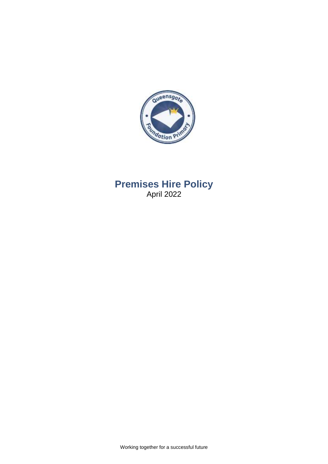

**Premises Hire Policy** April 2022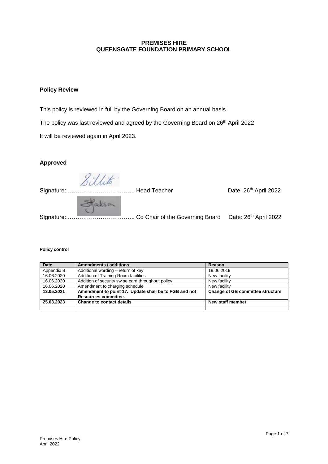## **PREMISES HIRE QUEENSGATE FOUNDATION PRIMARY SCHOOL**

## **Policy Review**

This policy is reviewed in full by the Governing Board on an annual basis.

The policy was last reviewed and agreed by the Governing Board on 26<sup>th</sup> April 2022

It will be reviewed again in April 2023.

## **Approved**

Sillito

Signature: …………………………….. Head Teacher Date: 26th April 2022

Hacksan

Signature: …………………………….. Co Chair of the Governing Board Date: 26th April 2022

#### **Policy control**

| <b>Date</b> | Amendments / additions                                | Reason                                  |
|-------------|-------------------------------------------------------|-----------------------------------------|
| Appendix B  | Additional wording – return of key                    | 19.06.2019                              |
| 16.06.2020  | Addition of Training Room facilities                  | New facility                            |
| 16.06.2020  | Addition of security swipe card throughout policy     | New facility                            |
| 16.06.2020  | Amendment to charging schedule                        | New facility                            |
| 13.05.2021  | Amendment to point 17. Update shall be to FGB and not | <b>Change of GB committee structure</b> |
|             | Resources committee.                                  |                                         |
| 25.03.2023  | <b>Change to contact details</b>                      | New staff member                        |
|             |                                                       |                                         |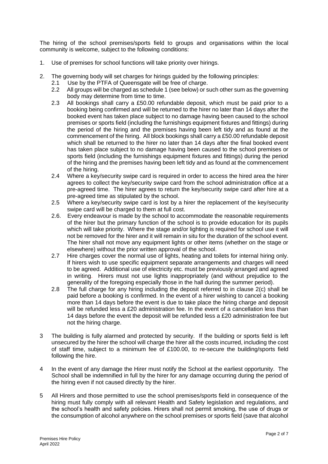The hiring of the school premises/sports field to groups and organisations within the local community is welcome, subject to the following conditions:

- 1. Use of premises for school functions will take priority over hirings.
- 2. The governing body will set charges for hirings guided by the following principles:
	- 2.1 Use by the PTFA of Queensgate will be free of charge.
	- 2.2 All groups will be charged as schedule 1 (see below) or such other sum as the governing body may determine from time to time.
	- 2.3 All bookings shall carry a £50.00 refundable deposit, which must be paid prior to a booking being confirmed and will be returned to the hirer no later than 14 days after the booked event has taken place subject to no damage having been caused to the school premises or sports field (including the furnishings equipment fixtures and fittings) during the period of the hiring and the premises having been left tidy and as found at the commencement of the hiring. All block bookings shall carry a £50.00 refundable deposit which shall be returned to the hirer no later than 14 days after the final booked event has taken place subject to no damage having been caused to the school premises or sports field (including the furnishings equipment fixtures and fittings) during the period of the hiring and the premises having been left tidy and as found at the commencement of the hiring.
	- 2.4 Where a key/security swipe card is required in order to access the hired area the hirer agrees to collect the key/security swipe card from the school administration office at a pre-agreed time. The hirer agrees to return the key/security swipe card after hire at a pre-agreed time as stipulated by the school.
	- 2.5 Where a key/security swipe card is lost by a hirer the replacement of the key/security swipe card will be charged to them at full cost.
	- 2.6. Every endeavour is made by the school to accommodate the reasonable requirements of the hirer but the primary function of the school is to provide education for its pupils which will take priority. Where the stage and/or lighting is required for school use it will not be removed for the hirer and it will remain in situ for the duration of the school event. The hirer shall not move any equipment lights or other items (whether on the stage or elsewhere) without the prior written approval of the school.
	- 2.7 Hire charges cover the normal use of lights, heating and toilets for internal hiring only. If hirers wish to use specific equipment separate arrangements and charges will need to be agreed. Additional use of electricity etc. must be previously arranged and agreed in writing. Hirers must not use lights inappropriately (and without prejudice to the generality of the foregoing especially those in the hall during the summer period).
	- 2.8 The full charge for any hiring including the deposit referred to in clause 2(c) shall be paid before a booking is confirmed. In the event of a hirer wishing to cancel a booking more than 14 days before the event is due to take place the hiring charge and deposit will be refunded less a £20 administration fee. In the event of a cancellation less than 14 days before the event the deposit will be refunded less a £20 administration fee but not the hiring charge.
- 3 The building is fully alarmed and protected by security. If the building or sports field is left unsecured by the hirer the school will charge the hirer all the costs incurred, including the cost of staff time, subject to a minimum fee of £100.00, to re-secure the building/sports field following the hire.
- 4 In the event of any damage the Hirer must notify the School at the earliest opportunity. The School shall be indemnified in full by the hirer for any damage occurring during the period of the hiring even if not caused directly by the hirer.
- 5 All Hirers and those permitted to use the school premises/sports field in consequence of the hiring must fully comply with all relevant Health and Safety legislation and regulations, and the school's health and safety policies. Hirers shall not permit smoking, the use of drugs or the consumption of alcohol anywhere on the school premises or sports field (save that alcohol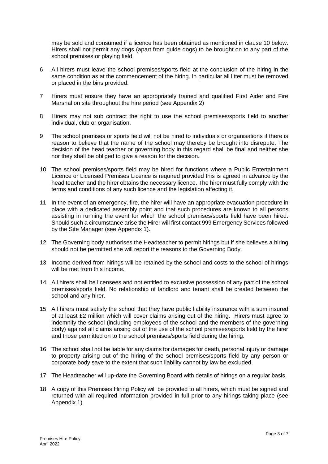may be sold and consumed if a licence has been obtained as mentioned in clause 10 below. Hirers shall not permit any dogs (apart from guide dogs) to be brought on to any part of the school premises or playing field.

- 6 All hirers must leave the school premises/sports field at the conclusion of the hiring in the same condition as at the commencement of the hiring. In particular all litter must be removed or placed in the bins provided.
- 7 Hirers must ensure they have an appropriately trained and qualified First Aider and Fire Marshal on site throughout the hire period (see Appendix 2)
- 8 Hirers may not sub contract the right to use the school premises/sports field to another individual, club or organisation.
- 9 The school premises or sports field will not be hired to individuals or organisations if there is reason to believe that the name of the school may thereby be brought into disrepute. The decision of the head teacher or governing body in this regard shall be final and neither she nor they shall be obliged to give a reason for the decision.
- 10 The school premises/sports field may be hired for functions where a Public Entertainment Licence or Licensed Premises Licence is required provided this is agreed in advance by the head teacher and the hirer obtains the necessary licence. The hirer must fully comply with the terms and conditions of any such licence and the legislation affecting it.
- 11 In the event of an emergency, fire, the hirer will have an appropriate evacuation procedure in place with a dedicated assembly point and that such procedures are known to all persons assisting in running the event for which the school premises/sports field have been hired. Should such a circumstance arise the Hirer will first contact 999 Emergency Services followed by the Site Manager (see Appendix 1).
- 12 The Governing body authorises the Headteacher to permit hirings but if she believes a hiring should not be permitted she will report the reasons to the Governing Body.
- 13 Income derived from hirings will be retained by the school and costs to the school of hirings will be met from this income.
- 14 All hirers shall be licensees and not entitled to exclusive possession of any part of the school premises/sports field. No relationship of landlord and tenant shall be created between the school and any hirer.
- 15 All hirers must satisfy the school that they have public liability insurance with a sum insured of at least £2 million which will cover claims arising out of the hiring. Hirers must agree to indemnify the school (including employees of the school and the members of the governing body) against all claims arising out of the use of the school premises/sports field by the hirer and those permitted on to the school premises/sports field during the hiring.
- 16 The school shall not be liable for any claims for damages for death, personal injury or damage to property arising out of the hiring of the school premises/sports field by any person or corporate body save to the extent that such liability cannot by law be excluded.
- 17 The Headteacher will up-date the Governing Board with details of hirings on a regular basis.
- 18 A copy of this Premises Hiring Policy will be provided to all hirers, which must be signed and returned with all required information provided in full prior to any hirings taking place (see Appendix 1)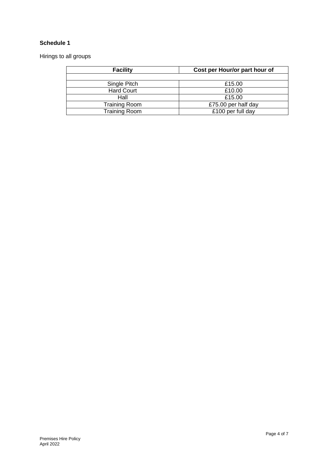# **Schedule 1**

Hirings to all groups

| <b>Facility</b>      | Cost per Hour/or part hour of |  |  |
|----------------------|-------------------------------|--|--|
|                      |                               |  |  |
| Single Pitch         | £15.00                        |  |  |
| <b>Hard Court</b>    | £10.00                        |  |  |
| Hall                 | £15.00                        |  |  |
| <b>Training Room</b> | £75.00 per half day           |  |  |
| Training Room        | £100 per full day             |  |  |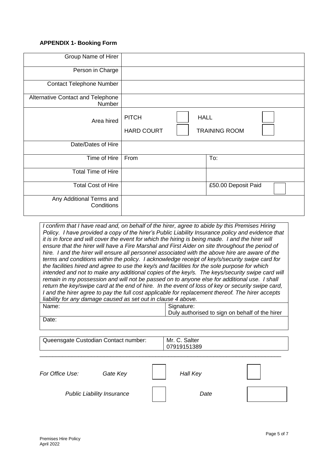### **APPENDIX 1- Booking Form**

| Group Name of Hirer                         |                                   |             |                      |
|---------------------------------------------|-----------------------------------|-------------|----------------------|
| Person in Charge                            |                                   |             |                      |
| <b>Contact Telephone Number</b>             |                                   |             |                      |
| Alternative Contact and Telephone<br>Number |                                   |             |                      |
| Area hired                                  | <b>PITCH</b><br><b>HARD COURT</b> | <b>HALL</b> | <b>TRAINING ROOM</b> |
| Date/Dates of Hire                          |                                   |             |                      |
| Time of Hire                                | From                              |             | To:                  |
| <b>Total Time of Hire</b>                   |                                   |             |                      |
| <b>Total Cost of Hire</b>                   |                                   |             | £50.00 Deposit Paid  |
| Any Additional Terms and<br>Conditions      |                                   |             |                      |

*I confirm that I have read and, on behalf of the hirer, agree to abide by this Premises Hiring Policy. I have provided a copy of the hirer's Public Liability Insurance policy and evidence that it is in force and will cover the event for which the hiring is being made. I and the hirer will ensure that the hirer will have a Fire Marshal and First Aider on site throughout the period of hire. I and the hirer will ensure all personnel associated with the above hire are aware of the terms and conditions within the policy. I acknowledge receipt of key/s/security swipe card for the facilities hired and agree to use the key/s and facilities for the sole purpose for which intended and not to make any additional copies of the key/s. The keys/security swipe card will remain in my possession and will not be passed on to anyone else for additional use. I shall return the key/swipe card at the end of hire. In the event of loss of key or security swipe card, I and the hirer agree to pay the full cost applicable for replacement thereof. The hirer accepts liability for any damage caused as set out in clause 4 above.* Name: Signature: Duly authorised to sign on behalf of the hirer

Date:

| <sup>1</sup> Queensgate Custodian Contact number: | Mr. C. Salter |
|---------------------------------------------------|---------------|
|                                                   | 07919151389   |

\_\_\_\_\_\_\_\_\_\_\_\_\_\_\_\_\_\_\_\_\_\_\_\_\_\_\_\_\_\_\_\_\_\_\_\_\_\_\_\_\_\_\_\_\_\_\_\_\_\_\_\_\_\_\_\_\_\_\_\_\_\_\_\_\_\_\_\_\_\_\_\_\_\_\_

| For Office Use:                   | Gate Key | Hall Key |  |
|-----------------------------------|----------|----------|--|
| <b>Public Liability Insurance</b> |          | Date     |  |